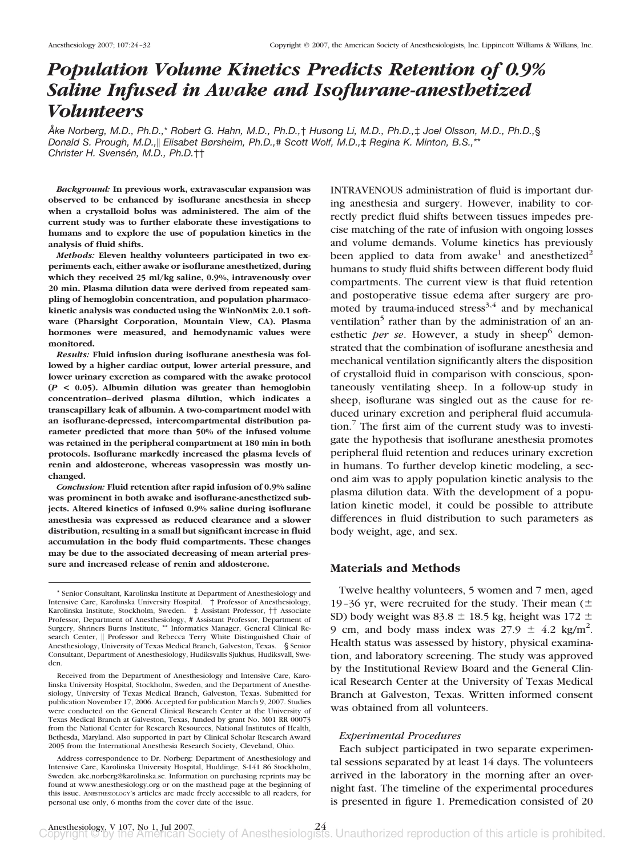# *Population Volume Kinetics Predicts Retention of 0.9% Saline Infused in Awake and Isoflurane-anesthetized Volunteers*

*A˚ ke Norberg, M.D., Ph.D.,*\* *Robert G. Hahn, M.D., Ph.D.,*† *Husong Li, M.D., Ph.D.,*‡ *Joel Olsson, M.D., Ph.D.,*§ *Donald S. Prough, M.D., Elisabet Børsheim, Ph.D.,*# *Scott Wolf, M.D.,*‡ *Regina K. Minton, B.S.,*\*\* *Christer H. Svensén, M.D., Ph.D.*††

*Background:* **In previous work, extravascular expansion was observed to be enhanced by isoflurane anesthesia in sheep when a crystalloid bolus was administered. The aim of the current study was to further elaborate these investigations to humans and to explore the use of population kinetics in the analysis of fluid shifts.**

*Methods:* **Eleven healthy volunteers participated in two experiments each, either awake or isoflurane anesthetized, during which they received 25 ml/kg saline, 0.9%, intravenously over 20 min. Plasma dilution data were derived from repeated sampling of hemoglobin concentration, and population pharmacokinetic analysis was conducted using the WinNonMix 2.0.1 software (Pharsight Corporation, Mountain View, CA). Plasma hormones were measured, and hemodynamic values were monitored.**

*Results:* **Fluid infusion during isoflurane anesthesia was followed by a higher cardiac output, lower arterial pressure, and lower urinary excretion as compared with the awake protocol (***P* **< 0.05). Albumin dilution was greater than hemoglobin concentration–derived plasma dilution, which indicates a transcapillary leak of albumin. A two-compartment model with an isoflurane-depressed, intercompartmental distribution parameter predicted that more than 50% of the infused volume was retained in the peripheral compartment at 180 min in both protocols. Isoflurane markedly increased the plasma levels of renin and aldosterone, whereas vasopressin was mostly unchanged.**

*Conclusion:* **Fluid retention after rapid infusion of 0.9% saline was prominent in both awake and isoflurane-anesthetized subjects. Altered kinetics of infused 0.9% saline during isoflurane anesthesia was expressed as reduced clearance and a slower distribution, resulting in a small but significant increase in fluid accumulation in the body fluid compartments. These changes may be due to the associated decreasing of mean arterial pressure and increased release of renin and aldosterone.**

Address correspondence to Dr. Norberg: Department of Anesthesiology and Intensive Care, Karolinska University Hospital, Huddinge, S-141 86 Stockholm, Sweden. ake.norberg@karolinska.se. Information on purchasing reprints may be found at www.anesthesiology.org or on the masthead page at the beginning of this issue. ANESTHESIOLOGY's articles are made freely accessible to all readers, for personal use only, 6 months from the cover date of the issue.

INTRAVENOUS administration of fluid is important during anesthesia and surgery. However, inability to correctly predict fluid shifts between tissues impedes precise matching of the rate of infusion with ongoing losses and volume demands. Volume kinetics has previously been applied to data from awake<sup>1</sup> and anesthetized<sup>2</sup> humans to study fluid shifts between different body fluid compartments. The current view is that fluid retention and postoperative tissue edema after surgery are promoted by trauma-induced stress<sup>3,4</sup> and by mechanical ventilation<sup>5</sup> rather than by the administration of an anesthetic *per se*. However, a study in sheep<sup>6</sup> demonstrated that the combination of isoflurane anesthesia and mechanical ventilation significantly alters the disposition of crystalloid fluid in comparison with conscious, spontaneously ventilating sheep. In a follow-up study in sheep, isoflurane was singled out as the cause for reduced urinary excretion and peripheral fluid accumulation. $\frac{7}{7}$  The first aim of the current study was to investigate the hypothesis that isoflurane anesthesia promotes peripheral fluid retention and reduces urinary excretion in humans. To further develop kinetic modeling, a second aim was to apply population kinetic analysis to the plasma dilution data. With the development of a population kinetic model, it could be possible to attribute differences in fluid distribution to such parameters as body weight, age, and sex.

# **Materials and Methods**

Twelve healthy volunteers, 5 women and 7 men, aged 19–36 yr, were recruited for the study. Their mean  $($ SD) body weight was 83.8  $\pm$  18.5 kg, height was 172  $\pm$ 9 cm, and body mass index was  $27.9 \pm 4.2$  kg/m<sup>2</sup>. Health status was assessed by history, physical examination, and laboratory screening. The study was approved by the Institutional Review Board and the General Clinical Research Center at the University of Texas Medical Branch at Galveston, Texas. Written informed consent was obtained from all volunteers.

## *Experimental Procedures*

Each subject participated in two separate experimental sessions separated by at least 14 days. The volunteers arrived in the laboratory in the morning after an overnight fast. The timeline of the experimental procedures is presented in figure 1. Premedication consisted of 20

<sup>\*</sup> Senior Consultant, Karolinska Institute at Department of Anesthesiology and Intensive Care, Karolinska University Hospital. † Professor of Anesthesiology, Karolinska Institute, Stockholm, Sweden. ‡ Assistant Professor, †† Associate Professor, Department of Anesthesiology, # Assistant Professor, Department of Surgery, Shriners Burns Institute, \*\* Informatics Manager, General Clinical Research Center, || Professor and Rebecca Terry White Distinguished Chair of Anesthesiology, University of Texas Medical Branch, Galveston, Texas. § Senior Consultant, Department of Anesthesiology, Hudiksvalls Sjukhus, Hudiksvall, Sweden.

Received from the Department of Anesthesiology and Intensive Care, Karolinska University Hospital, Stockholm, Sweden, and the Department of Anesthesiology, University of Texas Medical Branch, Galveston, Texas. Submitted for publication November 17, 2006. Accepted for publication March 9, 2007. Studies were conducted on the General Clinical Research Center at the University of Texas Medical Branch at Galveston, Texas, funded by grant No. M01 RR 00073 from the National Center for Research Resources, National Institutes of Health, Bethesda, Maryland. Also supported in part by Clinical Scholar Research Award 2005 from the International Anesthesia Research Society, Cleveland, Ohio.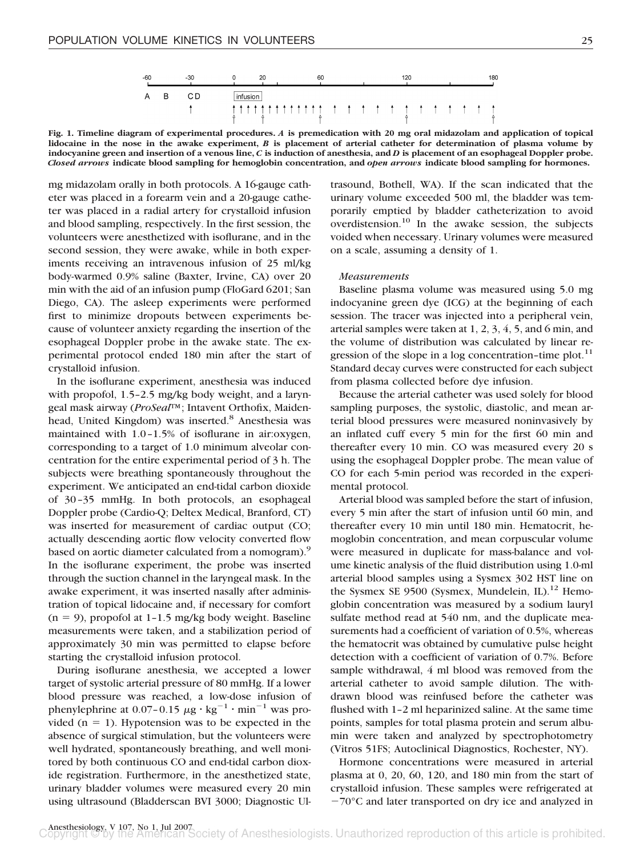**Fig. 1. Timeline diagram of experimental procedures.** *A* **is premedication with 20 mg oral midazolam and application of topical lidocaine in the nose in the awake experiment,** *B* **is placement of arterial catheter for determination of plasma volume by indocyanine green and insertion of a venous line,** *C* **is induction of anesthesia, and** *D* **is placement of an esophageal Doppler probe.** *Closed arrows* **indicate blood sampling for hemoglobin concentration, and** *open arrows* **indicate blood sampling for hormones.**

mg midazolam orally in both protocols. A 16-gauge catheter was placed in a forearm vein and a 20-gauge catheter was placed in a radial artery for crystalloid infusion and blood sampling, respectively. In the first session, the volunteers were anesthetized with isoflurane, and in the second session, they were awake, while in both experiments receiving an intravenous infusion of 25 ml/kg body-warmed 0.9% saline (Baxter, Irvine, CA) over 20 min with the aid of an infusion pump (FloGard 6201; San Diego, CA). The asleep experiments were performed first to minimize dropouts between experiments because of volunteer anxiety regarding the insertion of the esophageal Doppler probe in the awake state. The experimental protocol ended 180 min after the start of crystalloid infusion.

In the isoflurane experiment, anesthesia was induced with propofol, 1.5–2.5 mg/kg body weight, and a laryngeal mask airway (*ProSeal*™; Intavent Orthofix, Maidenhead, United Kingdom) was inserted.<sup>8</sup> Anesthesia was maintained with 1.0–1.5% of isoflurane in air:oxygen, corresponding to a target of 1.0 minimum alveolar concentration for the entire experimental period of 3 h. The subjects were breathing spontaneously throughout the experiment. We anticipated an end-tidal carbon dioxide of 30–35 mmHg. In both protocols, an esophageal Doppler probe (Cardio-Q; Deltex Medical, Branford, CT) was inserted for measurement of cardiac output (CO; actually descending aortic flow velocity converted flow based on aortic diameter calculated from a nomogram).<sup>9</sup> In the isoflurane experiment, the probe was inserted through the suction channel in the laryngeal mask. In the awake experiment, it was inserted nasally after administration of topical lidocaine and, if necessary for comfort  $(n = 9)$ , propofol at 1-1.5 mg/kg body weight. Baseline measurements were taken, and a stabilization period of approximately 30 min was permitted to elapse before starting the crystalloid infusion protocol.

During isoflurane anesthesia, we accepted a lower target of systolic arterial pressure of 80 mmHg. If a lower blood pressure was reached, a low-dose infusion of phenylephrine at 0.07-0.15  $\mu$ g · kg<sup>-1</sup> · min<sup>-1</sup> was provided  $(n = 1)$ . Hypotension was to be expected in the absence of surgical stimulation, but the volunteers were well hydrated, spontaneously breathing, and well monitored by both continuous CO and end-tidal carbon dioxide registration. Furthermore, in the anesthetized state, urinary bladder volumes were measured every 20 min using ultrasound (Bladderscan BVI 3000; Diagnostic Ultrasound, Bothell, WA). If the scan indicated that the urinary volume exceeded 500 ml, the bladder was temporarily emptied by bladder catheterization to avoid overdistension.<sup>10</sup> In the awake session, the subjects voided when necessary. Urinary volumes were measured on a scale, assuming a density of 1.

## *Measurements*

Baseline plasma volume was measured using 5.0 mg indocyanine green dye (ICG) at the beginning of each session. The tracer was injected into a peripheral vein, arterial samples were taken at 1, 2, 3, 4, 5, and 6 min, and the volume of distribution was calculated by linear regression of the slope in a log concentration-time plot. $^{11}$ Standard decay curves were constructed for each subject from plasma collected before dye infusion.

Because the arterial catheter was used solely for blood sampling purposes, the systolic, diastolic, and mean arterial blood pressures were measured noninvasively by an inflated cuff every 5 min for the first 60 min and thereafter every 10 min. CO was measured every 20 s using the esophageal Doppler probe. The mean value of CO for each 5-min period was recorded in the experimental protocol.

Arterial blood was sampled before the start of infusion, every 5 min after the start of infusion until 60 min, and thereafter every 10 min until 180 min. Hematocrit, hemoglobin concentration, and mean corpuscular volume were measured in duplicate for mass-balance and volume kinetic analysis of the fluid distribution using 1.0-ml arterial blood samples using a Sysmex 302 HST line on the Sysmex SE 9500 (Sysmex, Mundelein, IL).<sup>12</sup> Hemoglobin concentration was measured by a sodium lauryl sulfate method read at 540 nm, and the duplicate measurements had a coefficient of variation of 0.5%, whereas the hematocrit was obtained by cumulative pulse height detection with a coefficient of variation of 0.7%. Before sample withdrawal, 4 ml blood was removed from the arterial catheter to avoid sample dilution. The withdrawn blood was reinfused before the catheter was flushed with 1–2 ml heparinized saline. At the same time points, samples for total plasma protein and serum albumin were taken and analyzed by spectrophotometry (Vitros 51FS; Autoclinical Diagnostics, Rochester, NY).

Hormone concentrations were measured in arterial plasma at 0, 20, 60, 120, and 180 min from the start of crystalloid infusion. These samples were refrigerated at  $-70^{\circ}$ C and later transported on dry ice and analyzed in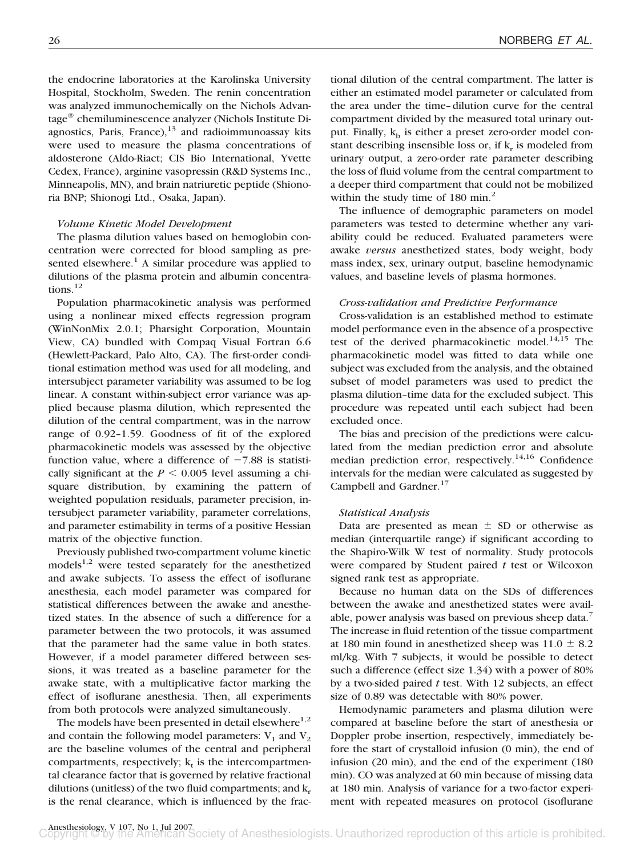the endocrine laboratories at the Karolinska University Hospital, Stockholm, Sweden. The renin concentration was analyzed immunochemically on the Nichols Advantage® chemiluminescence analyzer (Nichols Institute Diagnostics, Paris, France), $13$  and radioimmunoassay kits were used to measure the plasma concentrations of aldosterone (Aldo-Riact; CIS Bio International, Yvette Cedex, France), arginine vasopressin (R&D Systems Inc., Minneapolis, MN), and brain natriuretic peptide (Shionoria BNP; Shionogi Ltd., Osaka, Japan).

## *Volume Kinetic Model Development*

The plasma dilution values based on hemoglobin concentration were corrected for blood sampling as presented elsewhere.<sup>1</sup> A similar procedure was applied to dilutions of the plasma protein and albumin concentrations. $^{12}$ 

Population pharmacokinetic analysis was performed using a nonlinear mixed effects regression program (WinNonMix 2.0.1; Pharsight Corporation, Mountain View, CA) bundled with Compaq Visual Fortran 6.6 (Hewlett-Packard, Palo Alto, CA). The first-order conditional estimation method was used for all modeling, and intersubject parameter variability was assumed to be log linear. A constant within-subject error variance was applied because plasma dilution, which represented the dilution of the central compartment, was in the narrow range of 0.92–1.59. Goodness of fit of the explored pharmacokinetic models was assessed by the objective function value, where a difference of  $-7.88$  is statistically significant at the  $P \le 0.005$  level assuming a chisquare distribution, by examining the pattern of weighted population residuals, parameter precision, intersubject parameter variability, parameter correlations, and parameter estimability in terms of a positive Hessian matrix of the objective function.

Previously published two-compartment volume kinetic models $^{1,2}$  were tested separately for the anesthetized and awake subjects. To assess the effect of isoflurane anesthesia, each model parameter was compared for statistical differences between the awake and anesthetized states. In the absence of such a difference for a parameter between the two protocols, it was assumed that the parameter had the same value in both states. However, if a model parameter differed between sessions, it was treated as a baseline parameter for the awake state, with a multiplicative factor marking the effect of isoflurane anesthesia. Then, all experiments from both protocols were analyzed simultaneously.

The models have been presented in detail elsewhere $1,2$ and contain the following model parameters:  $V_1$  and  $V_2$ are the baseline volumes of the central and peripheral compartments, respectively;  $k_t$  is the intercompartmental clearance factor that is governed by relative fractional dilutions (unitless) of the two fluid compartments; and  $k_r$ is the renal clearance, which is influenced by the fractional dilution of the central compartment. The latter is either an estimated model parameter or calculated from the area under the time–dilution curve for the central compartment divided by the measured total urinary output. Finally,  $k_b$  is either a preset zero-order model constant describing insensible loss or, if  $k<sub>r</sub>$  is modeled from urinary output, a zero-order rate parameter describing the loss of fluid volume from the central compartment to a deeper third compartment that could not be mobilized within the study time of 180 min. $^{2}$ 

The influence of demographic parameters on model parameters was tested to determine whether any variability could be reduced. Evaluated parameters were awake *versus* anesthetized states, body weight, body mass index, sex, urinary output, baseline hemodynamic values, and baseline levels of plasma hormones.

# *Cross-validation and Predictive Performance*

Cross-validation is an established method to estimate model performance even in the absence of a prospective test of the derived pharmacokinetic model.<sup>14,15</sup> The pharmacokinetic model was fitted to data while one subject was excluded from the analysis, and the obtained subset of model parameters was used to predict the plasma dilution–time data for the excluded subject. This procedure was repeated until each subject had been excluded once.

The bias and precision of the predictions were calculated from the median prediction error and absolute median prediction error, respectively.<sup>14,16</sup> Confidence intervals for the median were calculated as suggested by Campbell and Gardner.<sup>17</sup>

## *Statistical Analysis*

Data are presented as mean  $\pm$  SD or otherwise as median (interquartile range) if significant according to the Shapiro-Wilk W test of normality. Study protocols were compared by Student paired *t* test or Wilcoxon signed rank test as appropriate.

Because no human data on the SDs of differences between the awake and anesthetized states were available, power analysis was based on previous sheep data.7 The increase in fluid retention of the tissue compartment at 180 min found in anesthetized sheep was  $11.0 \pm 8.2$ ml/kg. With 7 subjects, it would be possible to detect such a difference (effect size 1.34) with a power of 80% by a two-sided paired *t* test. With 12 subjects, an effect size of 0.89 was detectable with 80% power.

Hemodynamic parameters and plasma dilution were compared at baseline before the start of anesthesia or Doppler probe insertion, respectively, immediately before the start of crystalloid infusion (0 min), the end of infusion (20 min), and the end of the experiment (180 min). CO was analyzed at 60 min because of missing data at 180 min. Analysis of variance for a two-factor experiment with repeated measures on protocol (isoflurane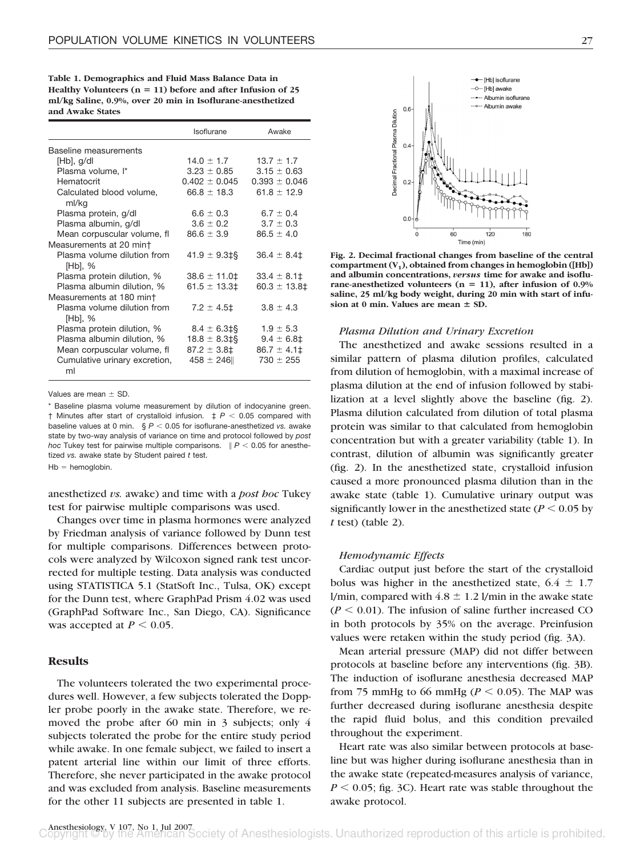**Table 1. Demographics and Fluid Mass Balance Data in Healthy Volunteers (n 11) before and after Infusion of 25 ml/kg Saline, 0.9%, over 20 min in Isoflurane-anesthetized and Awake States**

|                                        | Isoflurane            | Awake             |
|----------------------------------------|-----------------------|-------------------|
| Baseline measurements                  |                       |                   |
| $[Hb]$ , g/dl                          | $14.0 \pm 1.7$        | $13.7 \pm 1.7$    |
| Plasma volume, I*                      | $3.23 \pm 0.85$       | $3.15 \pm 0.63$   |
| Hematocrit                             | $0.402 \pm 0.045$     | $0.393 \pm 0.046$ |
| Calculated blood volume,<br>ml/kg      | $66.8 \pm 18.3$       | 61.8 $\pm$ 12.9   |
| Plasma protein, g/dl                   | $6.6 \pm 0.3$         | $6.7 \pm 0.4$     |
| Plasma albumin, g/dl                   | $3.6 \pm 0.2$         | $3.7 \pm 0.3$     |
| Mean corpuscular volume, fl            | $86.6 \pm 3.9$        | $86.5 \pm 4.0$    |
| Measurements at 20 mint                |                       |                   |
| Plasma volume dilution from<br>[Hb], % | $41.9 \pm 9.3$ ‡§     | $36.4 \pm 8.4$    |
| Plasma protein dilution, %             | $38.6 \pm 11.0 \pm 1$ | $33.4 \pm 8.1$    |
| Plasma albumin dilution, %             | $61.5 \pm 13.3$ $\pm$ | $60.3 \pm 13.8$ ‡ |
| Measurements at 180 min†               |                       |                   |
| Plasma volume dilution from<br>[Hb], % | $7.2 \pm 4.5$ ‡       | $3.8 \pm 4.3$     |
| Plasma protein dilution, %             | $8.4 \pm 6.3$ ‡§      | $1.9 \pm 5.3$     |
| Plasma albumin dilution, %             | $18.8 \pm 8.3$ ‡§     | $9.4 \pm 6.8$ ‡   |
| Mean corpuscular volume, fl            | $87.2 \pm 3.8$ ‡      | $86.7 \pm 4.1$    |
| Cumulative urinary excretion,<br>ml    | $458 \pm 246$         | $730 \pm 255$     |

Values are mean  $\pm$  SD.

Baseline plasma volume measurement by dilution of indocyanine green.  $\dagger$  Minutes after start of crystalloid infusion.  $\ddagger$  *P <* 0.05 compared with baseline values at 0 min.  $\S P < 0.05$  for isoflurane-anesthetized *vs.* awake state by two-way analysis of variance on time and protocol followed by *post hoc* Tukey test for pairwise multiple comparisons.  $P < 0.05$  for anesthetized *vs.* awake state by Student paired *t* test.

 $Hb =$  hemoglobin.

anesthetized *vs.* awake) and time with a *post hoc* Tukey test for pairwise multiple comparisons was used.

Changes over time in plasma hormones were analyzed by Friedman analysis of variance followed by Dunn test for multiple comparisons. Differences between protocols were analyzed by Wilcoxon signed rank test uncorrected for multiple testing. Data analysis was conducted using STATISTICA 5.1 (StatSoft Inc., Tulsa, OK) except for the Dunn test, where GraphPad Prism 4.02 was used (GraphPad Software Inc., San Diego, CA). Significance was accepted at  $P \leq 0.05$ .

# **Results**

The volunteers tolerated the two experimental procedures well. However, a few subjects tolerated the Doppler probe poorly in the awake state. Therefore, we removed the probe after 60 min in 3 subjects; only 4 subjects tolerated the probe for the entire study period while awake. In one female subject, we failed to insert a patent arterial line within our limit of three efforts. Therefore, she never participated in the awake protocol and was excluded from analysis. Baseline measurements for the other 11 subjects are presented in table 1.



**Fig. 2. Decimal fractional changes from baseline of the central** compartment  $(V_1)$ , obtained from changes in hemoglobin ([Hb]) **and albumin concentrations,** *versus* **time for awake and isoflurane-anesthetized volunteers (n 11), after infusion of 0.9% saline, 25 ml/kg body weight, during 20 min with start of infu**sion at 0 min. Values are mean  $\pm$  SD.

## *Plasma Dilution and Urinary Excretion*

The anesthetized and awake sessions resulted in a similar pattern of plasma dilution profiles, calculated from dilution of hemoglobin, with a maximal increase of plasma dilution at the end of infusion followed by stabilization at a level slightly above the baseline (fig. 2). Plasma dilution calculated from dilution of total plasma protein was similar to that calculated from hemoglobin concentration but with a greater variability (table 1). In contrast, dilution of albumin was significantly greater (fig. 2). In the anesthetized state, crystalloid infusion caused a more pronounced plasma dilution than in the awake state (table 1). Cumulative urinary output was significantly lower in the anesthetized state ( $P \le 0.05$  by *t* test) (table 2).

## *Hemodynamic Effects*

Cardiac output just before the start of the crystalloid bolus was higher in the anesthetized state,  $6.4 \pm 1.7$ l/min, compared with  $4.8 \pm 1.2$  l/min in the awake state  $(P \leq 0.01)$ . The infusion of saline further increased CO in both protocols by 35% on the average. Preinfusion values were retaken within the study period (fig. 3A).

Mean arterial pressure (MAP) did not differ between protocols at baseline before any interventions (fig. 3B). The induction of isoflurane anesthesia decreased MAP from 75 mmHg to 66 mmHg ( $P < 0.05$ ). The MAP was further decreased during isoflurane anesthesia despite the rapid fluid bolus, and this condition prevailed throughout the experiment.

Heart rate was also similar between protocols at baseline but was higher during isoflurane anesthesia than in the awake state (repeated-measures analysis of variance,  $P \le 0.05$ ; fig. 3C). Heart rate was stable throughout the awake protocol.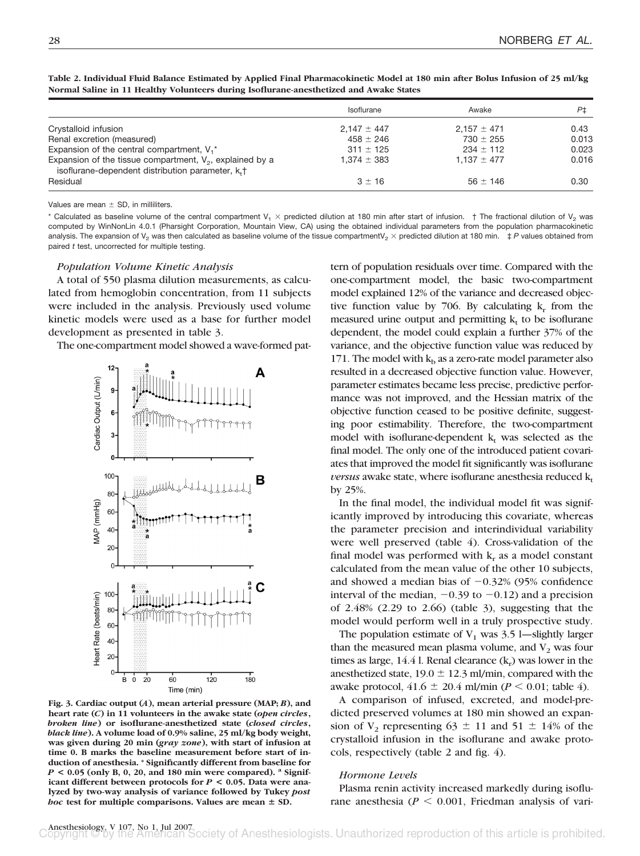|                                                                                                                              | Isoflurane      | Awake           | Ρ±    |
|------------------------------------------------------------------------------------------------------------------------------|-----------------|-----------------|-------|
| Crystalloid infusion                                                                                                         | $2.147 \pm 447$ | $2.157 \pm 471$ | 0.43  |
| Renal excretion (measured)                                                                                                   | $458 \pm 246$   | $730 \pm 255$   | 0.013 |
| Expansion of the central compartment, $V_1^*$                                                                                | $311 \pm 125$   | $234 \pm 112$   | 0.023 |
| Expansion of the tissue compartment, $V_2$ , explained by a<br>isoflurane-dependent distribution parameter, k <sub>+</sub> + | $1.374 \pm 383$ | $1.137 \pm 477$ | 0.016 |
| Residual                                                                                                                     | $3 + 16$        | $56 + 146$      | 0.30  |

**Table 2. Individual Fluid Balance Estimated by Applied Final Pharmacokinetic Model at 180 min after Bolus Infusion of 25 ml/kg Normal Saline in 11 Healthy Volunteers during Isoflurane-anesthetized and Awake States**

Values are mean  $\pm$  SD, in milliliters.

\* Calculated as baseline volume of the central compartment  $V_1 \times$  predicted dilution at 180 min after start of infusion. † The fractional dilution of  $V_2$  was computed by WinNonLin 4.0.1 (Pharsight Corporation, Mountain View, CA) using the obtained individual parameters from the population pharmacokinetic analysis. The expansion of V<sub>2</sub> was then calculated as baseline volume of the tissue compartmentV<sub>2</sub>  $\times$  predicted dilution at 180 min.  $\pm P$  values obtained from paired *t* test, uncorrected for multiple testing.

## *Population Volume Kinetic Analysis*

A total of 550 plasma dilution measurements, as calculated from hemoglobin concentration, from 11 subjects were included in the analysis. Previously used volume kinetic models were used as a base for further model development as presented in table 3.

The one-compartment model showed a wave-formed pat-



**Fig. 3. Cardiac output (***A***), mean arterial pressure (MAP;** *B***), and heart rate (***C***) in 11 volunteers in the awake state (***open circles***,** *broken line***) or isoflurane-anesthetized state (***closed circles***,** *black line***). A volume load of 0.9% saline, 25 ml/kg body weight, was given during 20 min (***gray zone***), with start of infusion at time 0. B marks the baseline measurement before start of induction of anesthesia. \* Significantly different from baseline for** *P* **< 0.05 (only B, 0, 20, and 180 min were compared). <sup>a</sup> Significant different between protocols for** *P* **< 0.05. Data were analyzed by two-way analysis of variance followed by Tukey** *post hoc* test for multiple comparisons. Values are mean  $\pm$  SD.

tern of population residuals over time. Compared with the one-compartment model, the basic two-compartment model explained 12% of the variance and decreased objective function value by 706. By calculating  $k_r$  from the measured urine output and permitting  $k_t$  to be isoflurane dependent, the model could explain a further 37% of the variance, and the objective function value was reduced by 171. The model with  $k_b$  as a zero-rate model parameter also resulted in a decreased objective function value. However, parameter estimates became less precise, predictive performance was not improved, and the Hessian matrix of the objective function ceased to be positive definite, suggesting poor estimability. Therefore, the two-compartment model with isoflurane-dependent  $k_t$  was selected as the final model. The only one of the introduced patient covariates that improved the model fit significantly was isoflurane *versus* awake state, where isoflurane anesthesia reduced  $k_t$ by 25%.

In the final model, the individual model fit was significantly improved by introducing this covariate, whereas the parameter precision and interindividual variability were well preserved (table 4). Cross-validation of the final model was performed with  $k<sub>r</sub>$  as a model constant calculated from the mean value of the other 10 subjects, and showed a median bias of  $-0.32\%$  (95% confidence interval of the median,  $-0.39$  to  $-0.12$ ) and a precision of 2.48% (2.29 to 2.66) (table 3), suggesting that the model would perform well in a truly prospective study.

The population estimate of  $V_1$  was 3.5 l—slightly larger than the measured mean plasma volume, and  $V_2$  was four times as large, 14.4 l. Renal clearance  $(k<sub>r</sub>)$  was lower in the anesthetized state,  $19.0 \pm 12.3$  ml/min, compared with the awake protocol,  $41.6 \pm 20.4$  ml/min ( $P \le 0.01$ ; table 4).

A comparison of infused, excreted, and model-predicted preserved volumes at 180 min showed an expansion of  $V_2$  representing 63  $\pm$  11 and 51  $\pm$  14% of the crystalloid infusion in the isoflurane and awake protocols, respectively (table 2 and fig. 4).

#### *Hormone Levels*

Plasma renin activity increased markedly during isoflurane anesthesia ( $P \le 0.001$ , Friedman analysis of vari-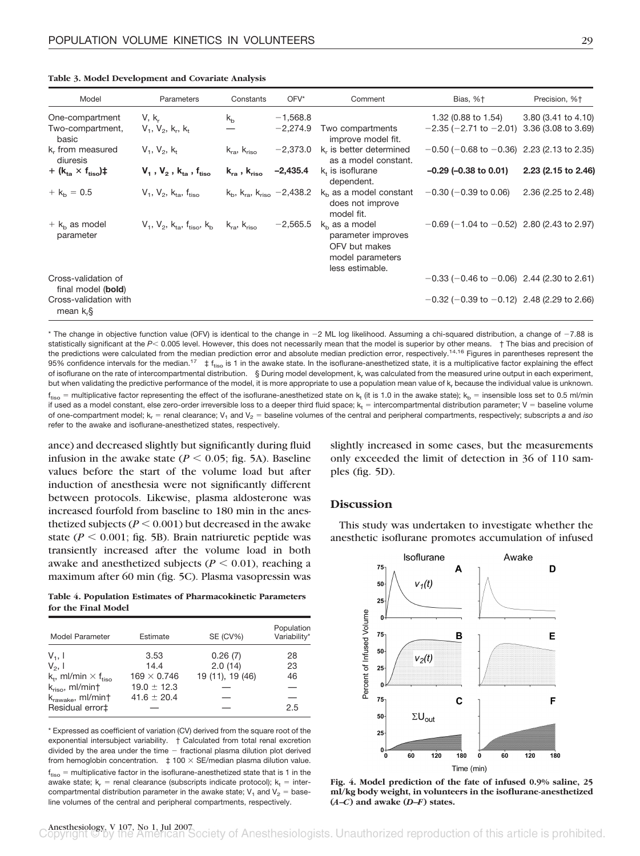|  |  |  | Table 3. Model Development and Covariate Analysis |
|--|--|--|---------------------------------------------------|
|--|--|--|---------------------------------------------------|

| Model                                        | Parameters                                                                                                | Constants                                                 | $OFV^*$                  | Comment                                                                                       | Bias, %+                                                               | Precision, %+       |
|----------------------------------------------|-----------------------------------------------------------------------------------------------------------|-----------------------------------------------------------|--------------------------|-----------------------------------------------------------------------------------------------|------------------------------------------------------------------------|---------------------|
| One-compartment<br>Two-compartment,<br>basic | $V, k_r$<br>$V_1, V_2, k_1, k_1$                                                                          | $k_{b}$                                                   | $-1,568.8$<br>$-2,274.9$ | Two compartments<br>improve model fit.                                                        | 1.32 (0.88 to 1.54)<br>$-2.35$ (-2.71 to $-2.01$ ) 3.36 (3.08 to 3.69) | 3.80 (3.41 to 4.10) |
| k, from measured<br>diuresis                 | $V_1, V_2, k_1$                                                                                           | $k_{ra}$ , $k_{riso}$                                     | $-2,373.0$               | k, is better determined<br>as a model constant.                                               | $-0.50$ ( $-0.68$ to $-0.36$ ) 2.23 (2.13 to 2.35)                     |                     |
| + $(k_{ta} \times f_{tiso})$                 | $\mathsf{V}_\mathsf{1}$ , $\mathsf{V}_\mathsf{2}$ , $\mathsf{k}_\mathsf{ta}$ , $\mathsf{f}_\mathsf{tiso}$ | $\mathsf{k}_{\mathsf{ra}}$ , $\mathsf{k}_{\mathsf{riso}}$ | $-2,435.4$               | $kr$ is isoflurane<br>dependent.                                                              | $-0.29$ ( $-0.38$ to 0.01)                                             | 2.23 (2.15 to 2.46) |
| $+ k_h = 0.5$                                | $V_1, V_2, k_{ta}, f_{tiso}$                                                                              | $k_{\rm b}$ , $k_{\rm ra}$ , $k_{\rm riso}$ -2,438.2      |                          | $kb$ as a model constant<br>does not improve<br>model fit.                                    | $-0.30$ ( $-0.39$ to 0.06)                                             | 2.36 (2.25 to 2.48) |
| $+ kb$ as model<br>parameter                 | $V_1, V_2, k_{ta}, f_{tiso}, k_h$ $k_{ra}, k_{riso}$                                                      |                                                           | $-2,565.5$               | $kb$ as a model<br>parameter improves<br>OFV but makes<br>model parameters<br>less estimable. | $-0.69$ (-1.04 to $-0.52$ ) 2.80 (2.43 to 2.97)                        |                     |
| Cross-validation of<br>final model (bold)    |                                                                                                           |                                                           |                          |                                                                                               | $-0.33$ ( $-0.46$ to $-0.06$ ) 2.44 (2.30 to 2.61)                     |                     |
| Cross-validation with<br>mean $k_{\rm r}$ §  |                                                                                                           |                                                           |                          |                                                                                               | $-0.32$ (-0.39 to $-0.12$ ) 2.48 (2.29 to 2.66)                        |                     |

\* The change in objective function value (OFV) is identical to the change in -2 ML log likelihood. Assuming a chi-squared distribution, a change of -7.88 is statistically significant at the P< 0.005 level. However, this does not necessarily mean that the model is superior by other means. † The bias and precision of the predictions were calculated from the median prediction error and absolute median prediction error, respectively.<sup>14,16</sup> Figures in parentheses represent the 95% confidence intervals for the median.<sup>17</sup>  $\pm f_{tiso}$  is 1 in the awake state. In the isoflurane-anesthetized state, it is a multiplicative factor explaining the effect of isoflurane on the rate of intercompartmental distribution. § During model development,  $k_r$  was calculated from the measured urine output in each experiment, but when validating the predictive performance of the model, it is more appropriate to use a population mean value of k<sub>r</sub> because the individual value is unknown.  $\rm{f_{tiso}}$  = multiplicative factor representing the effect of the isoflurane-anesthetized state on  $\rm{k_t}$  (it is 1.0 in the awake state);  $\rm{k_b}$  = insensible loss set to 0.5 ml/min if used as a model constant, else zero-order irreversible loss to a deeper third fluid space;  $\mathsf{k}_\mathsf{t}=$  intercompartmental distribution parameter; V = baseline volume of one-compartment model; k<sub>r</sub> = renal clearance; V<sub>1</sub> and V<sub>2</sub> = baseline volumes of the central and peripheral compartments, respectively; subscripts a and *iso* refer to the awake and isoflurane-anesthetized states, respectively.

ance) and decreased slightly but significantly during fluid infusion in the awake state ( $P \le 0.05$ ; fig. 5A). Baseline values before the start of the volume load but after induction of anesthesia were not significantly different between protocols. Likewise, plasma aldosterone was increased fourfold from baseline to 180 min in the anesthetized subjects ( $P \le 0.001$ ) but decreased in the awake state ( $P \le 0.001$ ; fig. 5B). Brain natriuretic peptide was transiently increased after the volume load in both awake and anesthetized subjects ( $P \leq 0.01$ ), reaching a maximum after 60 min (fig. 5C). Plasma vasopressin was

**Table 4. Population Estimates of Pharmacokinetic Parameters for the Final Model**

| Model Parameter                           | Estimate           | SE (CV%)         | Population<br>Variability* |
|-------------------------------------------|--------------------|------------------|----------------------------|
| $V_1$ , I                                 | 3.53               | 0.26(7)          | 28                         |
| $V_2$ , 1                                 | 14.4               | 2.0(14)          | 23                         |
| $k_t$ , ml/min $\times$ f <sub>tiso</sub> | $169 \times 0.746$ | 19 (11), 19 (46) | 46                         |
| $k_{riso}$ , ml/min†                      | $19.0 \pm 12.3$    |                  |                            |
| $k_{\text{rawake}}$ , ml/min $\dagger$    | $41.6 \pm 20.4$    |                  |                            |
| Residual error‡                           |                    |                  | 2.5                        |

\* Expressed as coefficient of variation (CV) derived from the square root of the exponential intersubject variability. † Calculated from total renal excretion divided by the area under the time  $-$  fractional plasma dilution plot derived from hemoglobin concentration.  $\pm 100 \times$  SE/median plasma dilution value.  $\rm{f_{tiso}}$  = multiplicative factor in the isoflurane-anesthetized state that is 1 in the awake state;  $k_r$  = renal clearance (subscripts indicate protocol);  $k_t$  = intercompartmental distribution parameter in the awake state;  $V_1$  and  $V_2$  = baseline volumes of the central and peripheral compartments, respectively.

slightly increased in some cases, but the measurements only exceeded the limit of detection in 36 of 110 samples (fig. 5D).

## **Discussion**

This study was undertaken to investigate whether the anesthetic isoflurane promotes accumulation of infused



**Fig. 4. Model prediction of the fate of infused 0.9% saline, 25 ml/kg body weight, in volunteers in the isoflurane-anesthetized (***A***–***C***) and awake (***D***–***F***) states.**

Anesthesiology, V 107, No 1, Jul 2007<br> **Anesthesiology, V 107, No 1, Jul 2007**<br> **Annustial American Society of Anesthesiologists. Unauthorized reproduction of this article is prohibited.**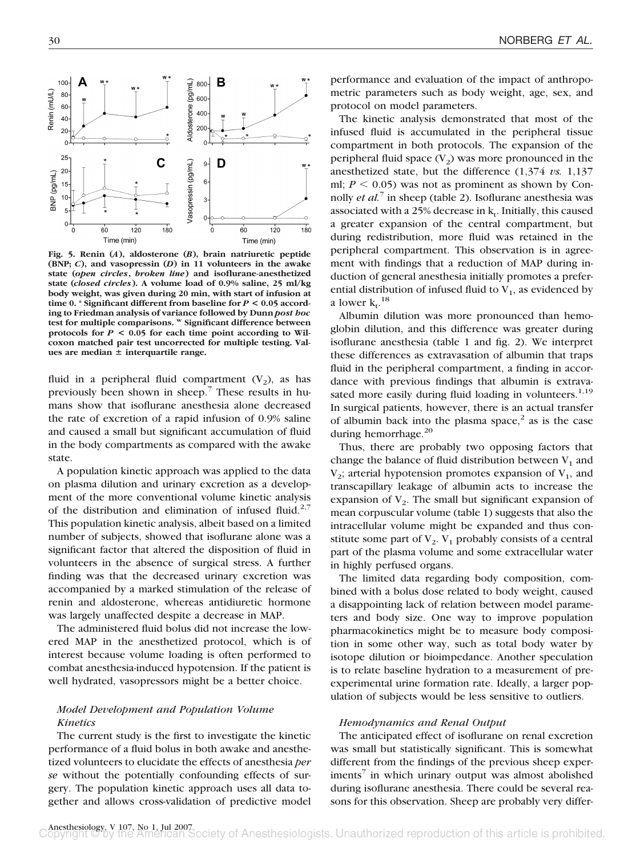

**Fig. 5. Renin (***A***), aldosterone (***B***), brain natriuretic peptide (BNP;** *C***), and vasopressin (***D***) in 11 volunteers in the awake state (***open circles***,** *broken line***) and isoflurane-anesthetized state (***closed circles***). A volume load of 0.9% saline, 25 ml/kg body weight, was given during 20 min, with start of infusion at time 0. \* Significant different from baseline for** *P* **< 0.05 according to Friedman analysis of variance followed by Dunn** *post hoc* **test for multiple comparisons. <sup>w</sup> Significant difference between protocols for** *P* **< 0.05 for each time point according to Wilcoxon matched pair test uncorrected for multiple testing. Val**ues are median  $\pm$  interquartile range.

fluid in a peripheral fluid compartment  $(V_2)$ , as has previously been shown in sheep.<sup>7</sup> These results in humans show that isoflurane anesthesia alone decreased the rate of excretion of a rapid infusion of 0.9% saline and caused a small but significant accumulation of fluid in the body compartments as compared with the awake state.

A population kinetic approach was applied to the data on plasma dilution and urinary excretion as a development of the more conventional volume kinetic analysis of the distribution and elimination of infused fluid.<sup>2,7</sup> This population kinetic analysis, albeit based on a limited number of subjects, showed that isoflurane alone was a significant factor that altered the disposition of fluid in volunteers in the absence of surgical stress. A further finding was that the decreased urinary excretion was accompanied by a marked stimulation of the release of renin and aldosterone, whereas antidiuretic hormone was largely unaffected despite a decrease in MAP.

The administered fluid bolus did not increase the lowered MAP in the anesthetized protocol, which is of interest because volume loading is often performed to combat anesthesia-induced hypotension. If the patient is well hydrated, vasopressors might be a better choice.

# *Model Development and Population Volume Kinetics*

The current study is the first to investigate the kinetic performance of a fluid bolus in both awake and anesthetized volunteers to elucidate the effects of anesthesia *per se* without the potentially confounding effects of surgery. The population kinetic approach uses all data together and allows cross-validation of predictive model performance and evaluation of the impact of anthropometric parameters such as body weight, age, sex, and protocol on model parameters.

The kinetic analysis demonstrated that most of the infused fluid is accumulated in the peripheral tissue compartment in both protocols. The expansion of the peripheral fluid space  $(V_2)$  was more pronounced in the anesthetized state, but the difference (1,374 *vs.* 1,137 ml;  $P \leq 0.05$ ) was not as prominent as shown by Connolly *et al.*<sup>7</sup> in sheep (table 2). Isoflurane anesthesia was associated with a 25% decrease in  $k_t$ . Initially, this caused a greater expansion of the central compartment, but during redistribution, more fluid was retained in the peripheral compartment. This observation is in agreement with findings that a reduction of MAP during induction of general anesthesia initially promotes a preferential distribution of infused fluid to  $V_1$ , as evidenced by a lower  $k_t$ .<sup>18</sup>

Albumin dilution was more pronounced than hemoglobin dilution, and this difference was greater during isoflurane anesthesia (table 1 and fig. 2). We interpret these differences as extravasation of albumin that traps fluid in the peripheral compartment, a finding in accordance with previous findings that albumin is extravasated more easily during fluid loading in volunteers.<sup>1,19</sup> In surgical patients, however, there is an actual transfer of albumin back into the plasma space, $2$  as is the case during hemorrhage.<sup>20</sup>

Thus, there are probably two opposing factors that change the balance of fluid distribution between  $V_1$  and  $V_2$ ; arterial hypotension promotes expansion of  $V_1$ , and transcapillary leakage of albumin acts to increase the expansion of  $V<sub>2</sub>$ . The small but significant expansion of mean corpuscular volume (table 1) suggests that also the intracellular volume might be expanded and thus constitute some part of  $V_2$ .  $V_1$  probably consists of a central part of the plasma volume and some extracellular water in highly perfused organs.

The limited data regarding body composition, combined with a bolus dose related to body weight, caused a disappointing lack of relation between model parameters and body size. One way to improve population pharmacokinetics might be to measure body composition in some other way, such as total body water by isotope dilution or bioimpedance. Another speculation is to relate baseline hydration to a measurement of preexperimental urine formation rate. Ideally, a larger population of subjects would be less sensitive to outliers.

#### *Hemodynamics and Renal Output*

The anticipated effect of isoflurane on renal excretion was small but statistically significant. This is somewhat different from the findings of the previous sheep exper- $\text{iments}^7$  in which urinary output was almost abolished during isoflurane anesthesia. There could be several reasons for this observation. Sheep are probably very differ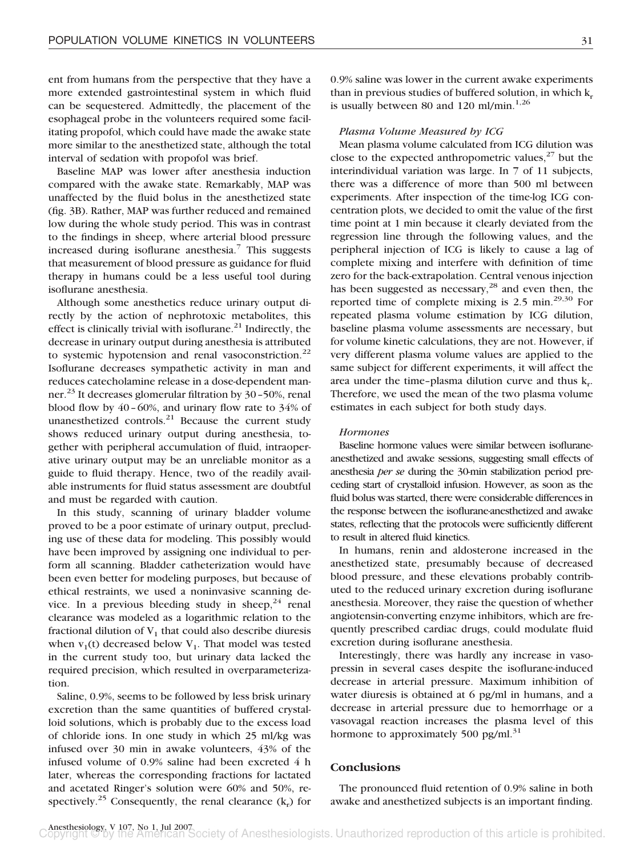ent from humans from the perspective that they have a more extended gastrointestinal system in which fluid can be sequestered. Admittedly, the placement of the esophageal probe in the volunteers required some facilitating propofol, which could have made the awake state more similar to the anesthetized state, although the total interval of sedation with propofol was brief.

Baseline MAP was lower after anesthesia induction compared with the awake state. Remarkably, MAP was unaffected by the fluid bolus in the anesthetized state (fig. 3B). Rather, MAP was further reduced and remained low during the whole study period. This was in contrast to the findings in sheep, where arterial blood pressure increased during isoflurane anesthesia.<sup>7</sup> This suggests that measurement of blood pressure as guidance for fluid therapy in humans could be a less useful tool during isoflurane anesthesia.

Although some anesthetics reduce urinary output directly by the action of nephrotoxic metabolites, this effect is clinically trivial with isoflurane. $^{21}$  Indirectly, the decrease in urinary output during anesthesia is attributed to systemic hypotension and renal vasoconstriction.<sup>22</sup> Isoflurane decreases sympathetic activity in man and reduces catecholamine release in a dose-dependent manner.<sup>23</sup> It decreases glomerular filtration by 30–50%, renal blood flow by 40–60%, and urinary flow rate to 34% of unanesthetized controls. $^{21}$  Because the current study shows reduced urinary output during anesthesia, together with peripheral accumulation of fluid, intraoperative urinary output may be an unreliable monitor as a guide to fluid therapy. Hence, two of the readily available instruments for fluid status assessment are doubtful and must be regarded with caution.

In this study, scanning of urinary bladder volume proved to be a poor estimate of urinary output, precluding use of these data for modeling. This possibly would have been improved by assigning one individual to perform all scanning. Bladder catheterization would have been even better for modeling purposes, but because of ethical restraints, we used a noninvasive scanning device. In a previous bleeding study in sheep,  $24$  renal clearance was modeled as a logarithmic relation to the fractional dilution of  $V_1$  that could also describe diuresis when  $v_1(t)$  decreased below  $V_1$ . That model was tested in the current study too, but urinary data lacked the required precision, which resulted in overparameterization.

Saline, 0.9%, seems to be followed by less brisk urinary excretion than the same quantities of buffered crystalloid solutions, which is probably due to the excess load of chloride ions. In one study in which 25 ml/kg was infused over 30 min in awake volunteers, 43% of the infused volume of 0.9% saline had been excreted 4 h later, whereas the corresponding fractions for lactated and acetated Ringer's solution were 60% and 50%, respectively.<sup>25</sup> Consequently, the renal clearance  $(k_r)$  for

0.9% saline was lower in the current awake experiments than in previous studies of buffered solution, in which  $k_r$ is usually between 80 and 120 ml/min.<sup>1,26</sup>

## *Plasma Volume Measured by ICG*

Mean plasma volume calculated from ICG dilution was close to the expected anthropometric values, $27$  but the interindividual variation was large. In 7 of 11 subjects, there was a difference of more than 500 ml between experiments. After inspection of the time-log ICG concentration plots, we decided to omit the value of the first time point at 1 min because it clearly deviated from the regression line through the following values, and the peripheral injection of ICG is likely to cause a lag of complete mixing and interfere with definition of time zero for the back-extrapolation. Central venous injection has been suggested as necessary, $^{28}$  and even then, the reported time of complete mixing is  $2.5 \text{ min.}^{29,30}$  For repeated plasma volume estimation by ICG dilution, baseline plasma volume assessments are necessary, but for volume kinetic calculations, they are not. However, if very different plasma volume values are applied to the same subject for different experiments, it will affect the area under the time–plasma dilution curve and thus  $k_{\rm r}$ . Therefore, we used the mean of the two plasma volume estimates in each subject for both study days.

### *Hormones*

Baseline hormone values were similar between isofluraneanesthetized and awake sessions, suggesting small effects of anesthesia *per se* during the 30-min stabilization period preceding start of crystalloid infusion. However, as soon as the fluid bolus was started, there were considerable differences in the response between the isoflurane-anesthetized and awake states, reflecting that the protocols were sufficiently different to result in altered fluid kinetics.

In humans, renin and aldosterone increased in the anesthetized state, presumably because of decreased blood pressure, and these elevations probably contributed to the reduced urinary excretion during isoflurane anesthesia. Moreover, they raise the question of whether angiotensin-converting enzyme inhibitors, which are frequently prescribed cardiac drugs, could modulate fluid excretion during isoflurane anesthesia.

Interestingly, there was hardly any increase in vasopressin in several cases despite the isoflurane-induced decrease in arterial pressure. Maximum inhibition of water diuresis is obtained at 6 pg/ml in humans, and a decrease in arterial pressure due to hemorrhage or a vasovagal reaction increases the plasma level of this hormone to approximately 500 pg/ml. $31$ 

## **Conclusions**

The pronounced fluid retention of 0.9% saline in both awake and anesthetized subjects is an important finding.